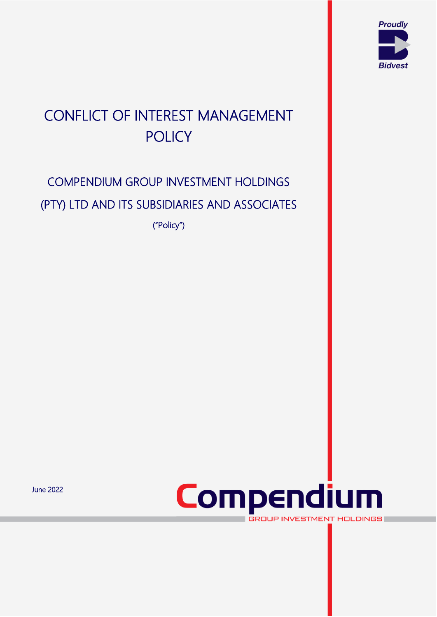

# CONFLICT OF INTEREST MANAGEMENT **POLICY**

# COMPENDIUM GROUP INVESTMENT HOLDINGS (PTY) LTD AND ITS SUBSIDIARIES AND ASSOCIATES ("Policy")

June 2022



van die 19de eeu n.C. Soos ander die 19de eeu n.C. In die 19de eeu n.C. In die 19de eeu n.C. In die 19de eeu n<br>Van die 19de eeu n.C. In die 19de eeu n.C. In die 19de eeu n.C. In die 19de eeu n.C. In die 19de eeu n.C. In d

**GROUP INVESTMENT HOLDINGS**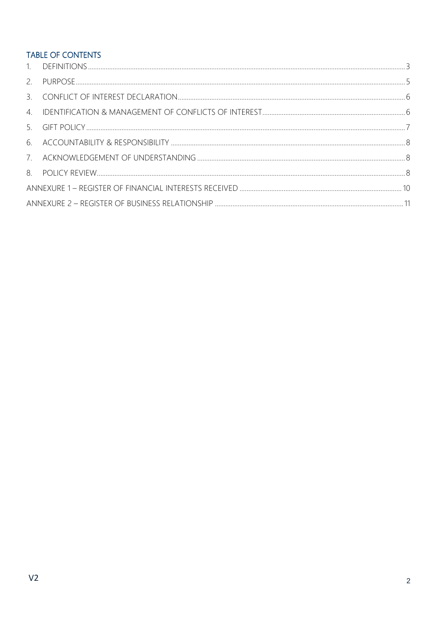### TABLE OF CONTENTS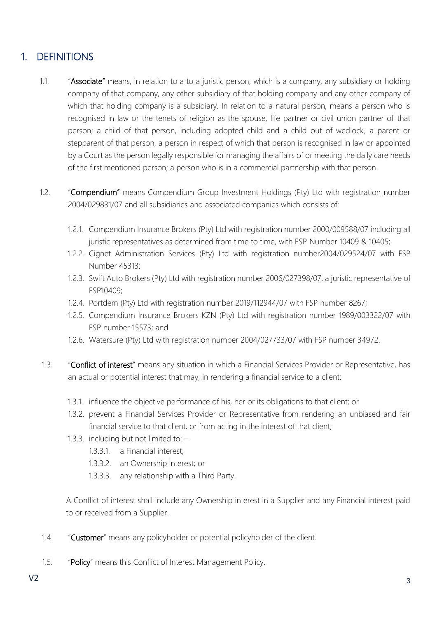## <span id="page-2-0"></span>1. DEFINITIONS

- 1.1. "Associate" means, in relation to a to a juristic person, which is a company, any subsidiary or holding company of that company, any other subsidiary of that holding company and any other company of which that holding company is a subsidiary. In relation to a natural person, means a person who is recognised in law or the tenets of religion as the spouse, life partner or civil union partner of that person; a child of that person, including adopted child and a child out of wedlock, a parent or stepparent of that person, a person in respect of which that person is recognised in law or appointed by a Court as the person legally responsible for managing the affairs of or meeting the daily care needs of the first mentioned person; a person who is in a commercial partnership with that person.
- 1.2. "Compendium" means Compendium Group Investment Holdings (Pty) Ltd with registration number 2004/029831/07 and all subsidiaries and associated companies which consists of:
	- 1.2.1. Compendium Insurance Brokers (Pty) Ltd with registration number 2000/009588/07 including all juristic representatives as determined from time to time, with FSP Number 10409 & 10405;
	- 1.2.2. Cignet Administration Services (Pty) Ltd with registration number2004/029524/07 with FSP Number 45313;
	- 1.2.3. Swift Auto Brokers (Pty) Ltd with registration number 2006/027398/07, a juristic representative of FSP10409;
	- 1.2.4. Portdem (Pty) Ltd with registration number 2019/112944/07 with FSP number 8267;
	- 1.2.5. Compendium Insurance Brokers KZN (Pty) Ltd with registration number 1989/003322/07 with FSP number 15573; and
	- 1.2.6. Watersure (Pty) Ltd with registration number 2004/027733/07 with FSP number 34972.
- 1.3. "Conflict of interest" means any situation in which a Financial Services Provider or Representative, has an actual or potential interest that may, in rendering a financial service to a client:
	- 1.3.1. influence the objective performance of his, her or its obligations to that client; or
	- 1.3.2. prevent a Financial Services Provider or Representative from rendering an unbiased and fair financial service to that client, or from acting in the interest of that client,
	- 1.3.3. including but not limited to:
		- 1.3.3.1. a Financial interest;
		- 1.3.3.2. an Ownership interest; or
		- 1.3.3.3. any relationship with a Third Party.

A Conflict of interest shall include any Ownership interest in a Supplier and any Financial interest paid to or received from a Supplier.

- 1.4. "Customer" means any policyholder or potential policyholder of the client.
- 1.5. "Policy" means this Conflict of Interest Management Policy.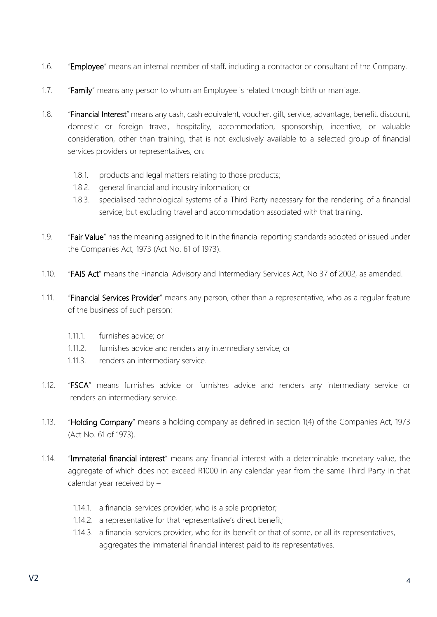- 1.6. "Employee" means an internal member of staff, including a contractor or consultant of the Company.
- 1.7. "Family" means any person to whom an Employee is related through birth or marriage.
- 1.8. "Financial Interest" means any cash, cash equivalent, voucher, gift, service, advantage, benefit, discount, domestic or foreign travel, hospitality, accommodation, sponsorship, incentive, or valuable consideration, other than training, that is not exclusively available to a selected group of financial services providers or representatives, on:
	- 1.8.1. products and legal matters relating to those products;
	- 1.8.2. general financial and industry information; or
	- 1.8.3. specialised technological systems of a Third Party necessary for the rendering of a financial service; but excluding travel and accommodation associated with that training.
- 1.9. "Fair Value" has the meaning assigned to it in the financial reporting standards adopted or issued under the Companies Act, 1973 (Act No. 61 of 1973).
- 1.10. "FAIS Act" means the Financial Advisory and Intermediary Services Act, No 37 of 2002, as amended.
- 1.11. "Financial Services Provider" means any person, other than a representative, who as a regular feature of the business of such person:
	- 1.11.1. furnishes advice; or
	- 1.11.2. furnishes advice and renders any intermediary service; or
	- 1.11.3. renders an intermediary service.
- 1.12. "FSCA" means furnishes advice or furnishes advice and renders any intermediary service or renders an intermediary service.
- 1.13. "Holding Company" means a holding company as defined in section 1(4) of the Companies Act, 1973 (Act No. 61 of 1973).
- 1.14. "Immaterial financial interest" means any financial interest with a determinable monetary value, the aggregate of which does not exceed R1000 in any calendar year from the same Third Party in that calendar year received by –
	- 1.14.1. a financial services provider, who is a sole proprietor;
	- 1.14.2. a representative for that representative's direct benefit;
	- 1.14.3. a financial services provider, who for its benefit or that of some, or all its representatives, aggregates the immaterial financial interest paid to its representatives.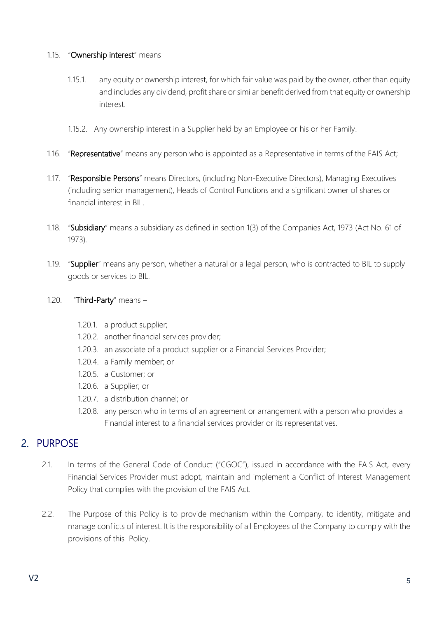#### 1.15. "Ownership interest" means

- 1.15.1. any equity or ownership interest, for which fair value was paid by the owner, other than equity and includes any dividend, profit share or similar benefit derived from that equity or ownership interest.
- 1.15.2. Any ownership interest in a Supplier held by an Employee or his or her Family.
- 1.16. "Representative" means any person who is appointed as a Representative in terms of the FAIS Act;
- 1.17. "Responsible Persons" means Directors, (including Non-Executive Directors), Managing Executives (including senior management), Heads of Control Functions and a significant owner of shares or financial interest in BIL.
- 1.18. "Subsidiary" means a subsidiary as defined in section 1(3) of the Companies Act, 1973 (Act No. 61 of 1973).
- 1.19. "Supplier" means any person, whether a natural or a legal person, who is contracted to BIL to supply goods or services to BIL.
- 1.20. "Third-Party" means
	- 1.20.1. a product supplier;
	- 1.20.2. another financial services provider;
	- 1.20.3. an associate of a product supplier or a Financial Services Provider;
	- 1.20.4. a Family member; or
	- 1.20.5. a Customer; or
	- 1.20.6. a Supplier; or
	- 1.20.7. a distribution channel; or
	- 1.20.8. any person who in terms of an agreement or arrangement with a person who provides a Financial interest to a financial services provider or its representatives.

### <span id="page-4-0"></span>2. PURPOSE

- 2.1. In terms of the General Code of Conduct ("CGOC"), issued in accordance with the FAIS Act, every Financial Services Provider must adopt, maintain and implement a Conflict of Interest Management Policy that complies with the provision of the FAIS Act.
- 2.2. The Purpose of this Policy is to provide mechanism within the Company, to identity, mitigate and manage conflicts of interest. It is the responsibility of all Employees of the Company to comply with the provisions of this Policy.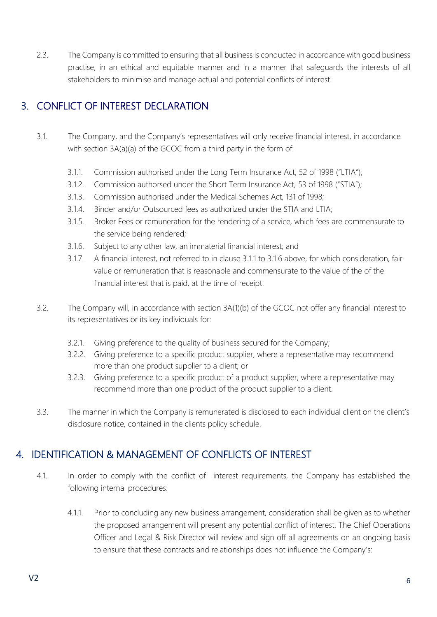2.3. The Company is committed to ensuring that all business is conducted in accordance with good business practise, in an ethical and equitable manner and in a manner that safeguards the interests of all stakeholders to minimise and manage actual and potential conflicts of interest.

## <span id="page-5-0"></span>3. CONFLICT OF INTEREST DECLARATION

- 3.1. The Company, and the Company's representatives will only receive financial interest, in accordance with section 3A(a)(a) of the GCOC from a third party in the form of:
	- 3.1.1. Commission authorised under the Long Term Insurance Act, 52 of 1998 ("LTIA");
	- 3.1.2. Commission authorsed under the Short Term Insurance Act, 53 of 1998 ("STIA");
	- 3.1.3. Commission authorised under the Medical Schemes Act, 131 of 1998;
	- 3.1.4. Binder and/or Outsourced fees as authorized under the STIA and LTIA;
	- 3.1.5. Broker Fees or remuneration for the rendering of a service, which fees are commensurate to the service being rendered;
	- 3.1.6. Subject to any other law, an immaterial financial interest; and
	- 3.1.7. A financial interest, not referred to in clause 3.1.1 to 3.1.6 above, for which consideration, fair value or remuneration that is reasonable and commensurate to the value of the of the financial interest that is paid, at the time of receipt.
- 3.2. The Company will, in accordance with section 3A(1)(b) of the GCOC not offer any financial interest to its representatives or its key individuals for:
	- 3.2.1. Giving preference to the quality of business secured for the Company;
	- 3.2.2. Giving preference to a specific product supplier, where a representative may recommend more than one product supplier to a client; or
	- 3.2.3. Giving preference to a specific product of a product supplier, where a representative may recommend more than one product of the product supplier to a client.
- 3.3. The manner in which the Company is remunerated is disclosed to each individual client on the client's disclosure notice, contained in the clients policy schedule.

## <span id="page-5-1"></span>4. IDENTIFICATION & MANAGEMENT OF CONFLICTS OF INTEREST

- 4.1. In order to comply with the conflict of interest requirements, the Company has established the following internal procedures:
	- 4.1.1. Prior to concluding any new business arrangement, consideration shall be given as to whether the proposed arrangement will present any potential conflict of interest. The Chief Operations Officer and Legal & Risk Director will review and sign off all agreements on an ongoing basis to ensure that these contracts and relationships does not influence the Company's: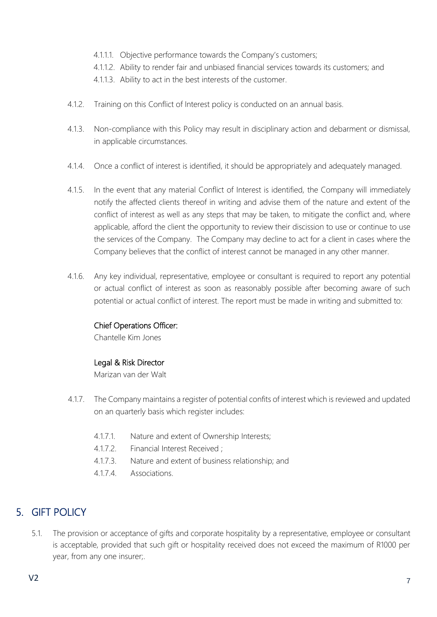- 4.1.1.1. Objective performance towards the Company's customers;
- 4.1.1.2. Ability to render fair and unbiased financial services towards its customers; and
- 4.1.1.3. Ability to act in the best interests of the customer.
- 4.1.2. Training on this Conflict of Interest policy is conducted on an annual basis.
- 4.1.3. Non-compliance with this Policy may result in disciplinary action and debarment or dismissal, in applicable circumstances.
- 4.1.4. Once a conflict of interest is identified, it should be appropriately and adequately managed.
- 4.1.5. In the event that any material Conflict of Interest is identified, the Company will immediately notify the affected clients thereof in writing and advise them of the nature and extent of the conflict of interest as well as any steps that may be taken, to mitigate the conflict and, where applicable, afford the client the opportunity to review their discission to use or continue to use the services of the Company. The Company may decline to act for a client in cases where the Company believes that the conflict of interest cannot be managed in any other manner.
- 4.1.6. Any key individual, representative, employee or consultant is required to report any potential or actual conflict of interest as soon as reasonably possible after becoming aware of such potential or actual conflict of interest. The report must be made in writing and submitted to:

#### Chief Operations Officer:

Chantelle Kim Jones

#### Legal & Risk Director

Marizan van der Walt

- 4.1.7. The Company maintains a register of potential confits of interest which is reviewed and updated on an quarterly basis which register includes:
	- 4.1.7.1. Nature and extent of Ownership Interests;
	- 4.1.7.2. Financial Interest Received ;
	- 4.1.7.3. Nature and extent of business relationship; and
	- 4.1.7.4. Associations.

## <span id="page-6-0"></span>5. GIFT POLICY

5.1. The provision or acceptance of gifts and corporate hospitality by a representative, employee or consultant is acceptable, provided that such gift or hospitality received does not exceed the maximum of R1000 per year, from any one insurer;.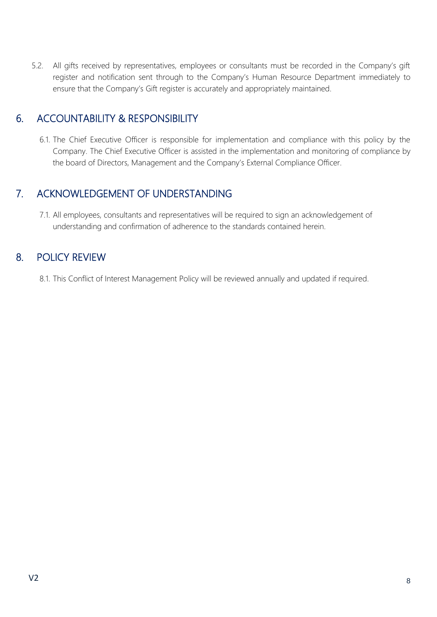5.2. All gifts received by representatives, employees or consultants must be recorded in the Company's gift register and notification sent through to the Company's Human Resource Department immediately to ensure that the Company's Gift register is accurately and appropriately maintained.

### <span id="page-7-0"></span>6. ACCOUNTABILITY & RESPONSIBILITY

6.1. The Chief Executive Officer is responsible for implementation and compliance with this policy by the Company. The Chief Executive Officer is assisted in the implementation and monitoring of compliance by the board of Directors, Management and the Company's External Compliance Officer.

### <span id="page-7-1"></span>7. ACKNOWLEDGEMENT OF UNDERSTANDING

7.1. All employees, consultants and representatives will be required to sign an acknowledgement of understanding and confirmation of adherence to the standards contained herein.

### <span id="page-7-2"></span>8. POLICY REVIEW

8.1. This Conflict of Interest Management Policy will be reviewed annually and updated if required.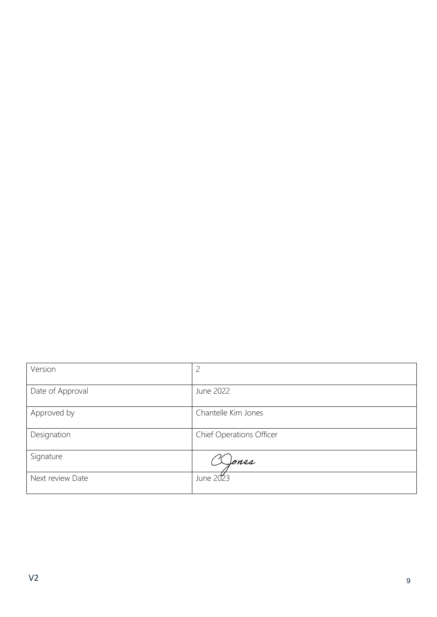| Version          | $\overline{c}$           |
|------------------|--------------------------|
| Date of Approval | June 2022                |
| Approved by      | Chantelle Kim Jones      |
| Designation      | Chief Operations Officer |
| Signature        | Jones                    |
| Next review Date | June 2023                |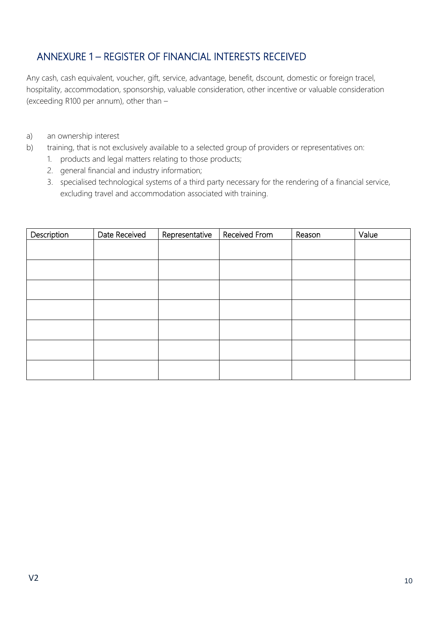# <span id="page-9-0"></span>ANNEXURE 1 – REGISTER OF FINANCIAL INTERESTS RECEIVED

Any cash, cash equivalent, voucher, gift, service, advantage, benefit, dscount, domestic or foreign tracel, hospitality, accommodation, sponsorship, valuable consideration, other incentive or valuable consideration (exceeding R100 per annum), other than –

- a) an ownership interest
- b) training, that is not exclusively available to a selected group of providers or representatives on:
	- 1. products and legal matters relating to those products;
	- 2. general financial and industry information;
	- 3. specialised technological systems of a third party necessary for the rendering of a financial service, excluding travel and accommodation associated with training.

| Description | Date Received | Representative | Received From | Reason | Value |
|-------------|---------------|----------------|---------------|--------|-------|
|             |               |                |               |        |       |
|             |               |                |               |        |       |
|             |               |                |               |        |       |
|             |               |                |               |        |       |
|             |               |                |               |        |       |
|             |               |                |               |        |       |
|             |               |                |               |        |       |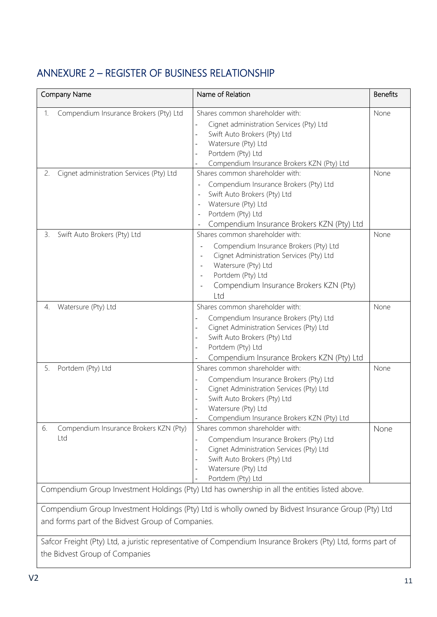# <span id="page-10-0"></span>ANNEXURE 2 – REGISTER OF BUSINESS RELATIONSHIP

| Company Name |                                               | Name of Relation                                                                                                                                                                                                                                                                                    | <b>Benefits</b> |  |  |
|--------------|-----------------------------------------------|-----------------------------------------------------------------------------------------------------------------------------------------------------------------------------------------------------------------------------------------------------------------------------------------------------|-----------------|--|--|
| 1.           | Compendium Insurance Brokers (Pty) Ltd        | Shares common shareholder with:<br>Cignet administration Services (Pty) Ltd<br>Swift Auto Brokers (Pty) Ltd<br>Watersure (Pty) Ltd<br>Portdem (Pty) Ltd<br>Compendium Insurance Brokers KZN (Pty) Ltd                                                                                               | None            |  |  |
| 2.           | Cignet administration Services (Pty) Ltd      | Shares common shareholder with:<br>Compendium Insurance Brokers (Pty) Ltd<br>$\overline{\phantom{a}}$<br>Swift Auto Brokers (Pty) Ltd<br>Watersure (Pty) Ltd<br>Portdem (Pty) Ltd<br>Compendium Insurance Brokers KZN (Pty) Ltd                                                                     | None            |  |  |
| 3.           | Swift Auto Brokers (Pty) Ltd                  | Shares common shareholder with:<br>Compendium Insurance Brokers (Pty) Ltd<br>Cignet Administration Services (Pty) Ltd<br>Watersure (Pty) Ltd<br>Portdem (Pty) Ltd<br>Compendium Insurance Brokers KZN (Pty)<br>Ltd                                                                                  | None            |  |  |
| 4.           | Watersure (Pty) Ltd                           | Shares common shareholder with:<br>Compendium Insurance Brokers (Pty) Ltd<br>Cignet Administration Services (Pty) Ltd<br>Swift Auto Brokers (Pty) Ltd<br>Portdem (Pty) Ltd<br>Compendium Insurance Brokers KZN (Pty) Ltd                                                                            | None            |  |  |
| 5.           | Portdem (Pty) Ltd                             | Shares common shareholder with:<br>Compendium Insurance Brokers (Pty) Ltd<br>Cignet Administration Services (Pty) Ltd<br>Swift Auto Brokers (Pty) Ltd<br>Watersure (Pty) Ltd<br>Compendium Insurance Brokers KZN (Pty) Ltd                                                                          | None            |  |  |
| 6.           | Compendium Insurance Brokers KZN (Pty)<br>Ltd | Shares common shareholder with:<br>Compendium Insurance Brokers (Pty) Ltd<br>Cignet Administration Services (Pty) Ltd<br>Swift Auto Brokers (Pty) Ltd<br>Watersure (Pty) Ltd<br>Portdem (Pty) Ltd<br>Compendium Group Investment Holdings (Pty) Ltd has ownership in all the entities listed above. | None            |  |  |
|              |                                               |                                                                                                                                                                                                                                                                                                     |                 |  |  |

Compendium Group Investment Holdings (Pty) Ltd is wholly owned by Bidvest Insurance Group (Pty) Ltd and forms part of the Bidvest Group of Companies.

Safcor Freight (Pty) Ltd, a juristic representative of Compendium Insurance Brokers (Pty) Ltd, forms part of the Bidvest Group of Companies